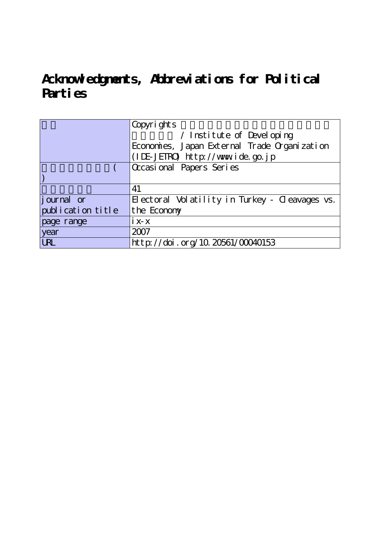## **Acknowledgments, Abbreviations for Political Parties**

|                    | Copyrights                                     |  |
|--------------------|------------------------------------------------|--|
|                    | / Institute of Developing                      |  |
|                    | Economies, Japan External Trade Organization   |  |
|                    | (IDE-JETRO) http://www.ide.go.jp               |  |
|                    | Occasional Papers Series                       |  |
|                    |                                                |  |
|                    | 41                                             |  |
| <i>j</i> ournal or | Electoral Volatility in Turkey - Cleavages vs. |  |
| publication title  | the Economy                                    |  |
| page range         | $i x-x$                                        |  |
| year               | 2007                                           |  |
| <b>URL</b>         | http://doi.org/10.20561/00040153               |  |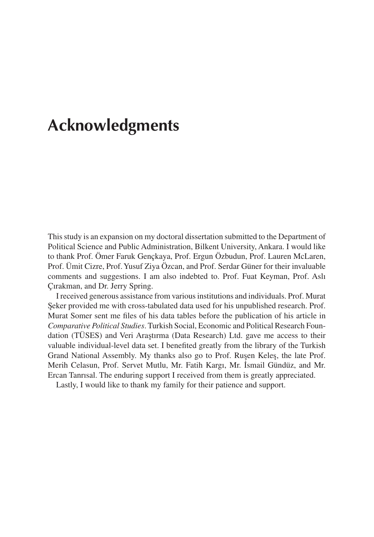## **Acknowledgments**

This study is an expansion on my doctoral dissertation submitted to the Department of Political Science and Public Administration, Bilkent University, Ankara. I would like to thank Prof. Ömer Faruk Gençkaya, Prof. Ergun Özbudun, Prof. Lauren McLaren, Prof. Ümit Cizre, Prof. Yusuf Ziya Özcan, and Prof. Serdar Güner for their invaluable comments and suggestions. I am also indebted to. Prof. Fuat Keyman, Prof. Aslı Çırakman, and Dr. Jerry Spring.

I received generous assistance from various institutions and individuals. Prof. Murat Seker provided me with cross-tabulated data used for his unpublished research. Prof. Murat Somer sent me files of his data tables before the publication of his article in *Comparative Political Studies*. Turkish Social, Economic and Political Research Foundation (TÜSES) and Veri Araştırma (Data Research) Ltd. gave me access to their valuable individual-level data set. I benefited greatly from the library of the Turkish Grand National Assembly. My thanks also go to Prof. Rusen Keles, the late Prof. Merih Celasun, Prof. Servet Mutlu, Mr. Fatih Kargı, Mr. I. smail Gündüz, and Mr. Ercan Tanrısal. The enduring support I received from them is greatly appreciated.

Lastly, I would like to thank my family for their patience and support.